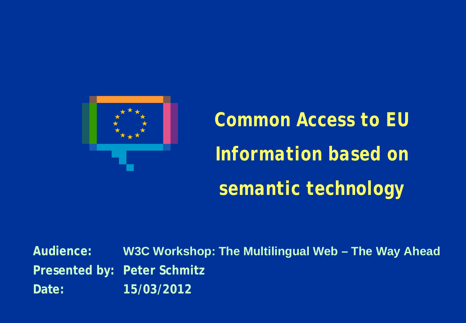

*Common Access to EU Information based on semantic technology*

**Audience: W3C Workshop: The Multilingual Web – The Way Ahead Presented by: Peter Schmitz Date: 15/03/2012**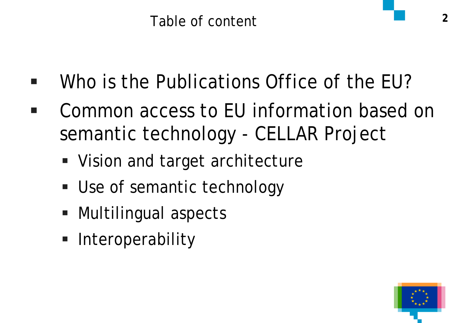- Who is the Publications Office of the EU?
- Common access to EU information based on semantic technology - CELLAR Project
	- Vision and target architecture
	- **Use of semantic technology**
	- Multilingual aspects
	- **Interoperability**

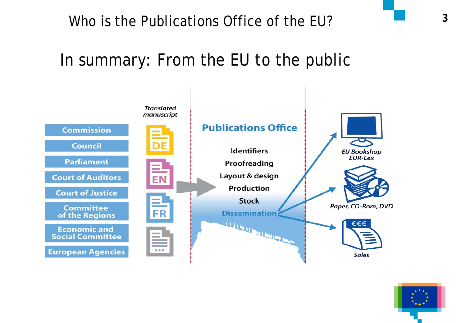### In summary: From the EU to the public



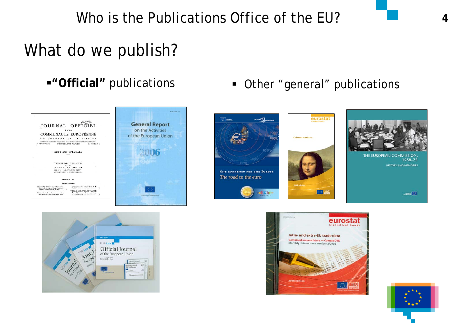### What do we publish?





**"**"Official" publications **In the Urban Properal**" publications









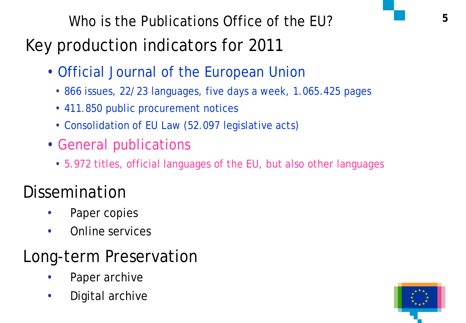# Key production indicators for 2011

- Official Journal of the European Union
	- 866 issues, 22/23 languages, five days a week, 1.065.425 pages
	- 411.850 public procurement notices
	- Consolidation of EU Law (52.097 legislative acts)
- General publications
	- 5.972 titles, official languages of the EU, but also other languages

# Dissemination

- Paper copies
- Online services

# Long-term Preservation

- Paper archive
- Digital archive

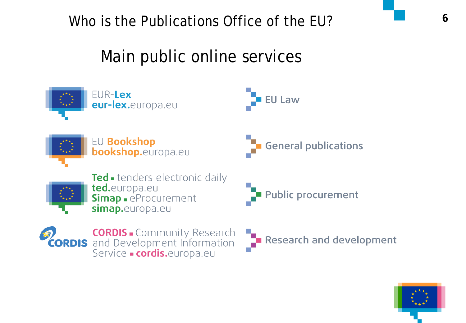## Main public online services



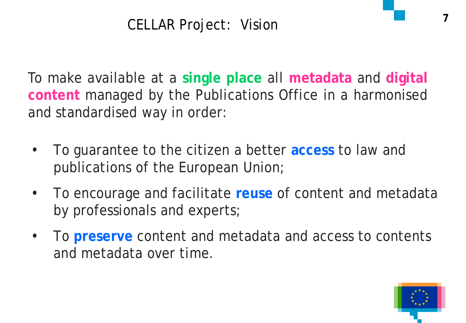### CELLAR Project: Vision

To make available at a **single place** all **metadata** and **digital content** managed by the Publications Office in a harmonised and standardised way in order:

- To guarantee to the citizen a better **access** to law and publications of the European Union;
- To encourage and facilitate **reuse** of content and metadata by professionals and experts;
- To **preserve** content and metadata and access to contents and metadata over time.

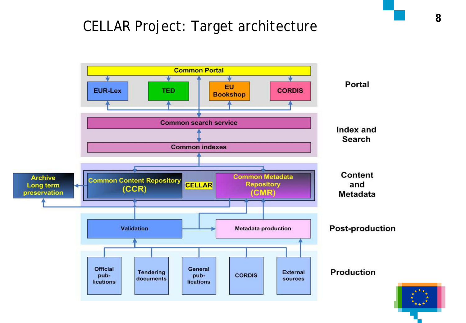# **<sup>8</sup>** CELLAR Project: Target architecture

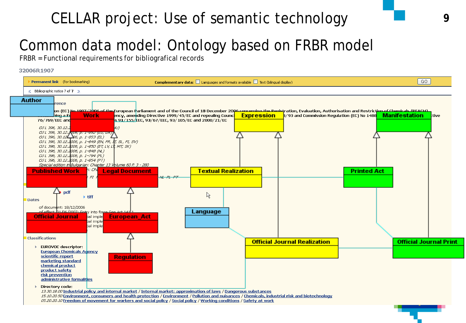### CELLAR project: Use of semantic technology **9**

### Common data model: Ontology based on FRBR model

FRBR = Functional requirements for bibliografical records

#### 32006R1907

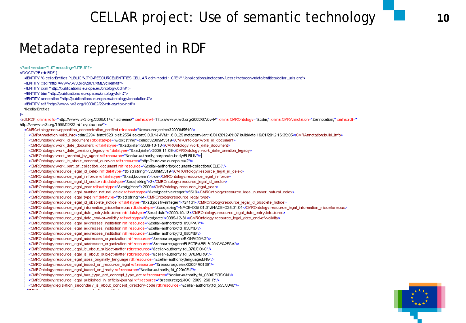### CELLAR project: Use of semantic technology

### Metadata represented in RDF

<?xml version="1.0" encoding="UTF-8"?>

<!DOCTYPE rdf:RDF [

<!ENTITY % cellarEntities PUBLIC "-//PO-RESOURCE//ENTITIES CELLAR cdm model 1.0//EN" "/applications/metaconv/users/metaconv/data/entities/cellar\_uris.ent">

<!ENTITY xsd "http://www.w3.org/2001/XMLSchema#">

<!ENTITY cdm "http://publications.europa.eu/ontology/cdm#">

<!ENTITY tdm "http://publications.europa.eu/ontology/tdm#">

<!ENTITY annotation "http://publications.europa.eu/ontology/annotation#">

<!ENTITY rdf "http://www.w3.org/1999/02/22-rdf-syntax-ns#">

%cellarEntities;

#### 1>

<rdf:RDF xmlns:rdfs="http://www.w3.org/2000/01/rdf-schema#" xmlns:owl="http://www.w3.org/2002/07/owl#" xmlns:CMROntology="&cdm;" xmlns:CMRAnnotation="&annotation;" xmlns:rdf=" http://www.w3.org/1999/02/22-rdf-syntax-ns#">

<CMROntology:non-opposition\_concentration\_notified rdf:about="&resource;celex/32009M5519"> <CMRAnnotation:build\_info>cdm:2294\_tdm:1523\_xslt:2554\_saxon:9.0.0.1J JVM:1.6.0\_29 metaconvJar:16/01/2012-01:07 builddate:16/01/2012 16:39:05</CMRAnnotation:build\_info> <CMROntology:work\_id\_document\_rdf:datatype="&xsd:string">celex:32009M5519</CMROntology:work\_id\_document> <CMROntology:work\_date\_document-rdf:datatype="&xsd;date">2009-10-13</CMROntology:work\_date\_document> <CMROntology:work\_date\_creation\_legacy-rdf:datatype="&xsd:date">2009-11-09</CMROntology:work\_date\_creation\_legacy> <CMROntology:work\_created\_by\_agent rdf:resource="&cellar-authority;corporate-body/EURUN"/> <CMROntology:work\_is\_about\_concept\_eurovoc.rdf:resource="http://eurovoc.europa.eu/2"/> <CMROntology:work\_part\_of\_collection\_document rdf:resource="&cellar-authority;document-collection/CELEX"/> <CMROntology:resource\_legal\_id\_celex rdf:datatype="&xsd;string">32009M5519</CMROntology:resource\_legal\_id\_celex> <CMROntology:resource\_legal\_in-force rdf:datatype="&xsd;boolean">true</CMROntology:resource\_legal\_in-force> <CMROntology:resource\_legal\_id\_sector rdf:datatype="&xsd;string">3</CMROntology:resource\_legal\_id\_sector> <CMROntology:resource\_legal\_year rdf:datatype="&xsd;gYear">2009</CMROntology:resource\_legal\_year> <CMROntology:resource\_legal\_number\_natural\_celex rdf:datatype="&xsd;positiveInteger">5519</CMROntology:resource\_legal\_number\_natural\_celex> <CMROntology:resource\_legal\_type.rdf:datatype="&xsd:string">M</CMROntology:resource\_legal\_type> <CMROntology:resource\_legal\_id\_obsolete\_notice.rdf:datatype="&xsd;positiveInteger">724131</CMROntology:resource\_legal\_id\_obsolete\_notice> <CMROntology:resource\_legal\_information\_miscellaneous.rdf:datatype="&xsd:string">NACE=D35.01.01#NACE=D35.01.04</CMROntology:resource\_legal\_information\_miscellaneous> <CMROntology:resource\_legal\_date\_entry-into-force-rdf:datatype="&xsd;date">2009-10-13</CMROntology:resource\_legal\_date\_entry-into-force> <CMROntology:resource\_legal\_date\_end-of-validity rdf:datatype="&xsd;date">9999-12-31</CMROntology:resource\_legal\_date\_end-of-validity> <CMROntology:resource\_legal\_addresses\_institution rdf:resource="&cellar-authority;fd\_050/PAR"/> <CMROntology:resource\_legal\_addresses\_institution rdf:resource="&cellar-authority;fd\_050/ND"/> <CMROntology:resource\_legal\_addresses\_institution rdf:resource="&cellar-authority;fd\_050/NB"/> </MROntology:resource\_legal\_addresses\_organization rdf:resource="&resource;agent/E.ON%20AG"/> </MROntology:resource\_legal\_addresses\_organization.rdf:resource="&resource;agent/ELECTRABEL%20NV%2FSA" <CMROntology:resource\_legal\_is\_about\_subject-matter rdf:resource="&cellar-authority;fd\_070/CONC"/> <CMROntology:resource\_legal\_is\_about\_subject-matter rdf:resource="&cellar-authority;fd\_070MERG"/> </MROntology:resource\_legal\_uses\_originally\_language rdf:resource="&cellar-authority;language/ENG"/> <CMROntology:resource\_legal\_based\_on\_resource\_legal rdf:resource="&resource;celex/32004R0139"/> <CMROntology:resource\_legal\_based\_on\_treaty rdf:resource="&cellar-authority;fd\_020/CEU"/> <CMROntology:resource\_legal\_has\_type\_act\_concept\_type\_act rdf:resource="&cellar-authority;fd\_030/DECISION"/> <CMROntology:resource\_legal\_published\_in\_official-journal rdf:resource="&resource;oj/JOC\_2009\_268\_R"/> </MROntology:legislation\_secondary\_is\_about\_concept\_directory-code rdf:resource="&cellar-authority;fd\_555/0840"/> **Contact Contact Street** 

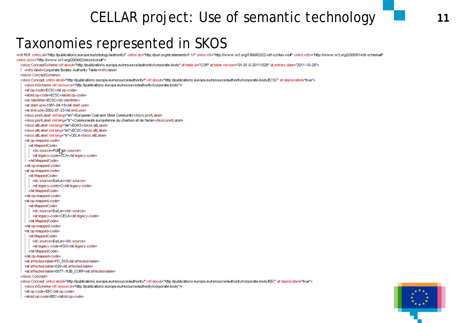### CELLAR project: Use of semantic technology

### Taxonomies represented in SKOS

<rdf:RDF xmlns:at="http://publications.europa.eu/ontology/authority/" xmlns:dc="http://purl.org/dc/elements/1.1/" xmlns:rdf="http://www.w3.org/1999/02/22-rdf-syntax-ns#" xmlns:rdfs="http://www.w3.org/2000/01/rdf-schema#" xmlns:skos="http://www.w3.org/2004/02/skos/core#">

<skos:ConceptScheme rdf.about="http://publications.europa.eu/resource/authority/corporate-body" at:table.id="COR" at:table.version="01-01.0-20111028" at:entries.date="2011-10-28">

| <rdfs:label>Corporate Bodies Authority Table</rdfs:label>

</skos:ConceptScheme>

<skos:Concept xmlns:atold="http://publications.europa.eu/resource/authority/" rdf:about="http://publications.europa.eu/resource/authority/corporate-body/ECSC" at:deprecated="true">

<skos:inScheme rdf:resource="http://publications.europa.eu/resource/authority/corporate-body"/>

- <at:op-code>ECSC</at:op-code>
- <atoid:op-code>ECSC</atoid:op-code>
- <dc:identifier>ECSC</dc:identifier>
- <at:start.use>1951-04-18</at:start.use>
- <atiend.use>2002-07-23</atiend.use>
- <skos:prefLabel xml:lang="en">European Coal and Steel Community</skos:prefLabel>
- <skos:prefLabel xml:lanq="fr">Communauté européenne du charbon et de l'acier</skos:prefLabel>
- <skos:altLabel.xml:lang="de">EGKS</skos:altLabel>
- <skos:altLabel.xml:lang="en">ECSC</skos:altLabel>
- <skos:altLabel.xml:lang="fr">CECA</skos:altLabel>
- <at:op-mapped-code>
- <at:MappedCode>
- <dc:source>PUB \dc:source>
- <at:legacy-code>CCA</at:legacy-code>
- </at:MappedCode>
- </at:op-mapped-code>
- <at:op-mapped-code>
- <at:MappedCode>
- <dc:source>EurLex</dc:source>
- <at:legacy-code>C</at:legacy-code>
- </at:MappedCode>
- </at:op-mapped-code>
- <at:op-mapped-code>
- <at:MappedCode>
- <dc:source>EurLex</dc:source>
- <at:legacy-code>CECA</at:legacy-code>
- </at:MappedCode>
- </at:op-mapped-code>
- <at:op-mapped-code>
- <at:MappedCode>
- <dc:source>EurLex</dc:source>
- <at:legacy-code>KSG</at:legacy-code>
- </at:MappedCode>
- </at:op-mapped-code>
- <at:affected-table>FD\_010</at:affected-table>
- <at:affected-table>020</at:affected-table>
- <at:affected-table>0577- PUB\_CORP</at:affected-table>

</skos:Concept>

<skos:Concept xmlns:atoid="http://publications.europa.eu/resource/authority/" rdf:about="http://publications.europa.eu/resource/authority/corporate-body/EEC" at:deprecated="true">

<skos:inScheme rdf:resource="http://publications.europa.eu/resource/authority/corporate-body"/>

- <at:op-code>EEC</at:op-code>
- <atold:op-code>EEC</atold:op-code>

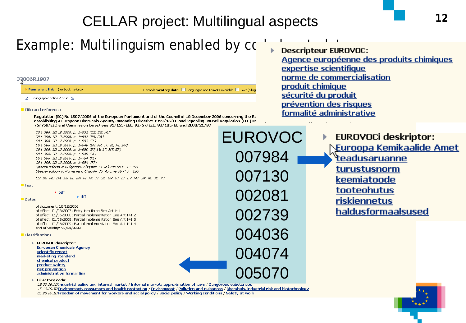### CELLAR project: Multilingual aspects

EUROVOC

007984

007130

002081

002739

004036

004074

### Example: Multilinguism enabled by code metastic metastic metastic metastic.

#### 32006R1907

**Permanent link** (for bookmarking) Complementary data: □ Languages and formats available □ Text (biling < Bibliographic notice 7 of 7 >

#### Title and reference

Regulation (EC) No 1907/2006 of the European Parliament and of the Council of 18 December 2006 concerning the Re establishing a European Chemicals Agency, amending Directive 1999/45/EC and repealing Council Regulation (EEC) No 76/769/EEC and Commission Directives 91/155/EEC, 93/67/EEC, 93/105/EC and 2000/21/EC

OJ L 396, 30.12.2006, p. 1-851 (CS, DE, HU) OJ L 396, 30.12.2006, p. 1-852 (ES, DA) OJ L 396, 30.12.2006, p. 1-853 (EL) OJ L 396, 30.12.2006, p. 1-849 (EN, FR, IT, SL, FI, SV) OJ L 396, 30.12.2006, p. 1-850 (ET, LV, LT, MT, SK) OJ L 396, 30.12.2006, p. 1-848 (NL) OJ L 396, 30.12.2006, p. 1-794 (PL) OJ L 396, 30.12.2006, p. 1-854 (PT) Special edition in Bulgarian: Chapter 13 Volume 60 P. 3 - 280 Special edition in Romanian: Chapter 13 Volume 60 P. 3 - 280

CS DE HU DA ES EL EN FI FR IT SL SV ET LT LV MT SK NL PL PT

#### Text

 $\rightarrow$  pdf  $\triangleright$  tiff

#### **Dates**

of document: 18/12/2006 of effect: 01/06/2007; Entry into force See Art 141.1 of effect: 01/06/2008; Partial implementation See Art 141.2 of effect: 01/08/2008; Partial implementation See Art 141.3 of effect: 01/06/2009; Partial implementation See Art 141.4 end of validity: 99/99/9999

#### **Classifications**

EUROVOC descriptor: **European Chemicals Agency** scientific report marketing standard chemical product product safety risk prevention administrative formalities

#### Directory code:

risk prevention<br>administrative formalities<br>Directory code:<br>13.30.18.00 Industrial policy and internal market / Internal market: approximation of laws / Dangerous substances 15.10.20.50 Environment, consumers and health protection / Environment / Pollution and nuisances / Chemicals, industrial risk and biotechnology 05.20.20.10 Freedom of movement for workers and social policy / Social policy / Working conditions / Safety at work

Agence européenne des produits chimiques expertise scientifique norme de commercialisation produit chimique sécurité du produit prévention des risques formalité administrative

> **EUROVOCi deskriptor: Euroopa Kemikaalide Amet** teadusaruanne turustusnorm keemiatoode tooteohutus riskiennetus haldusformaalsused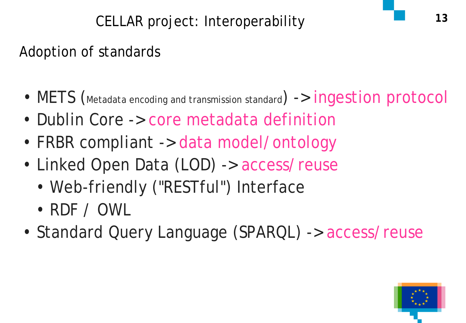### Adoption of standards

- METS (Metadata encoding and transmission standard) -> ingestion protocol
- Dublin Core -> core metadata definition
- FRBR compliant -> data model/ontology
- Linked Open Data (LOD) -> access/reuse
	- Web-friendly ("RESTful") Interface
	- RDF / OWL
- Standard Query Language (SPARQL) -> access/reuse

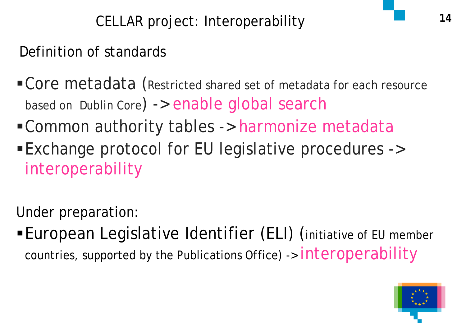**<sup>14</sup>** CELLAR project: Interoperability

Definition of standards

- Core metadata (Restricted shared set of metadata for each resource based on Dublin Core) -> enable global search
- Common authority tables -> harmonize metadata Exchange protocol for EU legislative procedures -> interoperability

Under preparation:

European Legislative Identifier (ELI) (initiative of EU member countries, supported by the Publications Office) -> interoperability